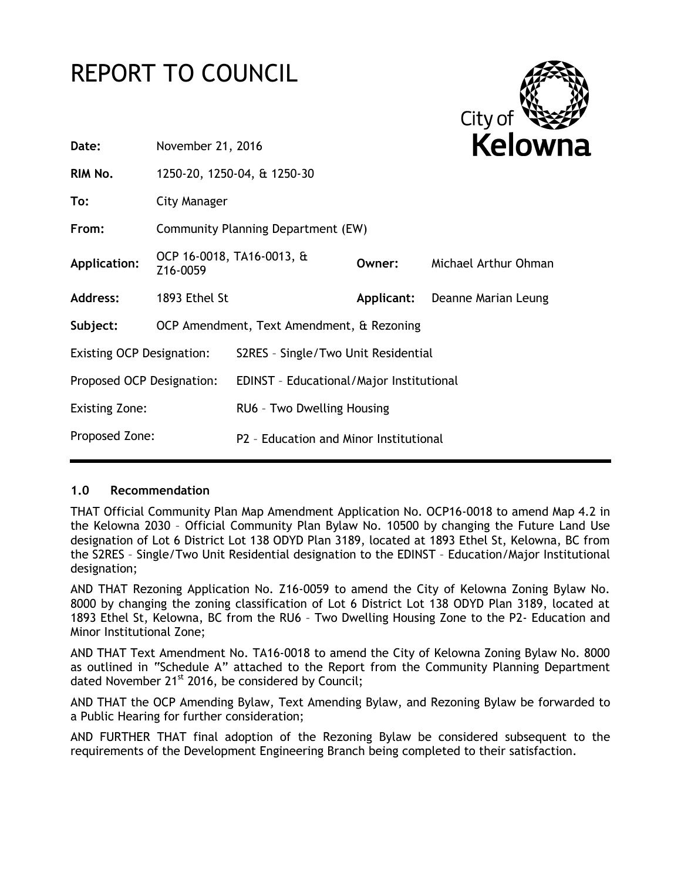# REPORT TO COUNCIL



| Date:                            | November 21, 2016                         |                                          |            | <b>Kelowr</b>        |
|----------------------------------|-------------------------------------------|------------------------------------------|------------|----------------------|
| RIM No.                          |                                           | 1250-20, 1250-04, & 1250-30              |            |                      |
| To:                              | <b>City Manager</b>                       |                                          |            |                      |
| From:                            | Community Planning Department (EW)        |                                          |            |                      |
| <b>Application:</b>              | Z16-0059                                  | OCP 16-0018, TA16-0013, &                | Owner:     | Michael Arthur Ohman |
| Address:                         | 1893 Ethel St                             |                                          | Applicant: | Deanne Marian Leung  |
| Subject:                         | OCP Amendment, Text Amendment, & Rezoning |                                          |            |                      |
| <b>Existing OCP Designation:</b> |                                           | S2RES - Single/Two Unit Residential      |            |                      |
| Proposed OCP Designation:        |                                           | EDINST - Educational/Major Institutional |            |                      |
| <b>Existing Zone:</b>            |                                           | RU6 - Two Dwelling Housing               |            |                      |
| Proposed Zone:                   |                                           | P2 - Education and Minor Institutional   |            |                      |

# **1.0 Recommendation**

THAT Official Community Plan Map Amendment Application No. OCP16-0018 to amend Map 4.2 in the Kelowna 2030 – Official Community Plan Bylaw No. 10500 by changing the Future Land Use designation of Lot 6 District Lot 138 ODYD Plan 3189, located at 1893 Ethel St, Kelowna, BC from the S2RES – Single/Two Unit Residential designation to the EDINST – Education/Major Institutional designation;

AND THAT Rezoning Application No. Z16-0059 to amend the City of Kelowna Zoning Bylaw No. 8000 by changing the zoning classification of Lot 6 District Lot 138 ODYD Plan 3189, located at 1893 Ethel St, Kelowna, BC from the RU6 – Two Dwelling Housing Zone to the P2- Education and Minor Institutional Zone;

AND THAT Text Amendment No. TA16-0018 to amend the City of Kelowna Zoning Bylaw No. 8000 as outlined in "Schedule A" attached to the Report from the Community Planning Department dated November  $21^{st}$  2016, be considered by Council;

AND THAT the OCP Amending Bylaw, Text Amending Bylaw, and Rezoning Bylaw be forwarded to a Public Hearing for further consideration;

AND FURTHER THAT final adoption of the Rezoning Bylaw be considered subsequent to the requirements of the Development Engineering Branch being completed to their satisfaction.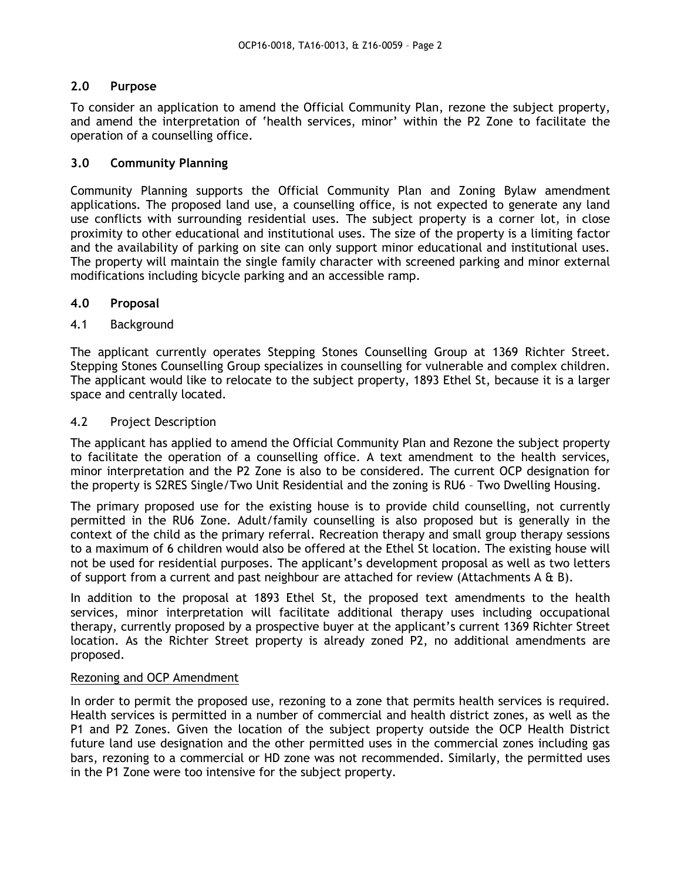# **2.0 Purpose**

To consider an application to amend the Official Community Plan, rezone the subject property, and amend the interpretation of 'health services, minor' within the P2 Zone to facilitate the operation of a counselling office.

# **3.0 Community Planning**

Community Planning supports the Official Community Plan and Zoning Bylaw amendment applications. The proposed land use, a counselling office, is not expected to generate any land use conflicts with surrounding residential uses. The subject property is a corner lot, in close proximity to other educational and institutional uses. The size of the property is a limiting factor and the availability of parking on site can only support minor educational and institutional uses. The property will maintain the single family character with screened parking and minor external modifications including bicycle parking and an accessible ramp.

# **4.0 Proposal**

# 4.1 Background

The applicant currently operates Stepping Stones Counselling Group at 1369 Richter Street. Stepping Stones Counselling Group specializes in counselling for vulnerable and complex children. The applicant would like to relocate to the subject property, 1893 Ethel St, because it is a larger space and centrally located.

# 4.2 Project Description

The applicant has applied to amend the Official Community Plan and Rezone the subject property to facilitate the operation of a counselling office. A text amendment to the health services, minor interpretation and the P2 Zone is also to be considered. The current OCP designation for the property is S2RES Single/Two Unit Residential and the zoning is RU6 – Two Dwelling Housing.

The primary proposed use for the existing house is to provide child counselling, not currently permitted in the RU6 Zone. Adult/family counselling is also proposed but is generally in the context of the child as the primary referral. Recreation therapy and small group therapy sessions to a maximum of 6 children would also be offered at the Ethel St location. The existing house will not be used for residential purposes. The applicant's development proposal as well as two letters of support from a current and past neighbour are attached for review (Attachments A  $E$  B).

In addition to the proposal at 1893 Ethel St, the proposed text amendments to the health services, minor interpretation will facilitate additional therapy uses including occupational therapy, currently proposed by a prospective buyer at the applicant's current 1369 Richter Street location. As the Richter Street property is already zoned P2, no additional amendments are proposed.

# Rezoning and OCP Amendment

In order to permit the proposed use, rezoning to a zone that permits health services is required. Health services is permitted in a number of commercial and health district zones, as well as the P1 and P2 Zones. Given the location of the subject property outside the OCP Health District future land use designation and the other permitted uses in the commercial zones including gas bars, rezoning to a commercial or HD zone was not recommended. Similarly, the permitted uses in the P1 Zone were too intensive for the subject property.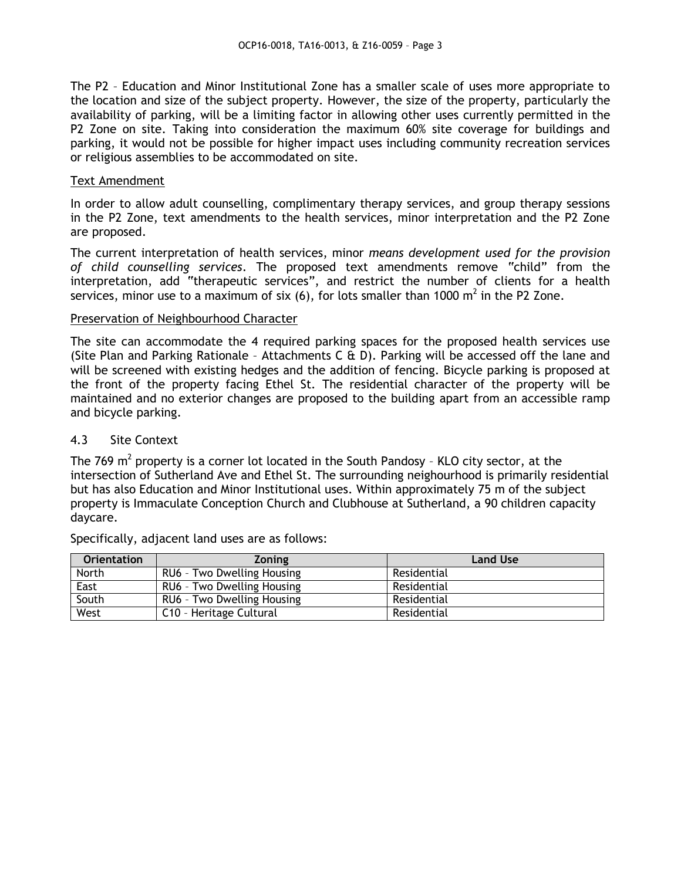The P2 – Education and Minor Institutional Zone has a smaller scale of uses more appropriate to the location and size of the subject property. However, the size of the property, particularly the availability of parking, will be a limiting factor in allowing other uses currently permitted in the P2 Zone on site. Taking into consideration the maximum 60% site coverage for buildings and parking, it would not be possible for higher impact uses including community recreation services or religious assemblies to be accommodated on site.

#### Text Amendment

In order to allow adult counselling, complimentary therapy services, and group therapy sessions in the P2 Zone, text amendments to the health services, minor interpretation and the P2 Zone are proposed.

The current interpretation of health services, minor *means development used for the provision of child counselling services*. The proposed text amendments remove "child" from the interpretation, add "therapeutic services", and restrict the number of clients for a health services, minor use to a maximum of six (6), for lots smaller than 1000  $m^2$  in the P2 Zone.

#### Preservation of Neighbourhood Character

The site can accommodate the 4 required parking spaces for the proposed health services use (Site Plan and Parking Rationale – Attachments C & D). Parking will be accessed off the lane and will be screened with existing hedges and the addition of fencing. Bicycle parking is proposed at the front of the property facing Ethel St. The residential character of the property will be maintained and no exterior changes are proposed to the building apart from an accessible ramp and bicycle parking.

## 4.3 Site Context

The 769  $m^2$  property is a corner lot located in the South Pandosy - KLO city sector, at the intersection of Sutherland Ave and Ethel St. The surrounding neighourhood is primarily residential but has also Education and Minor Institutional uses. Within approximately 75 m of the subject property is Immaculate Conception Church and Clubhouse at Sutherland, a 90 children capacity daycare.

| <b>Orientation</b> | <b>Zoning</b>              | <b>Land Use</b> |
|--------------------|----------------------------|-----------------|
| North              | RU6 - Two Dwelling Housing | Residential     |
| East               | RU6 - Two Dwelling Housing | Residential     |
| South              | RU6 - Two Dwelling Housing | Residential     |
| West               | C10 - Heritage Cultural    | Residential     |

Specifically, adjacent land uses are as follows: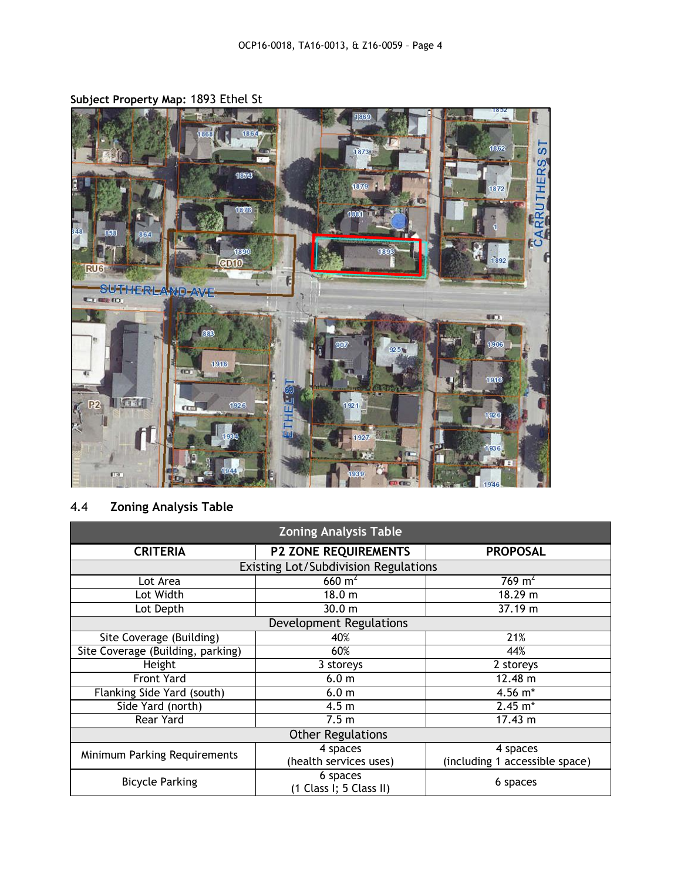**Subject Property Map:** 1893 Ethel St



# 4.4 **Zoning Analysis Table**

| <b>Zoning Analysis Table</b>         |                                         |                                |  |  |  |  |
|--------------------------------------|-----------------------------------------|--------------------------------|--|--|--|--|
| <b>CRITERIA</b>                      | <b>P2 ZONE REQUIREMENTS</b>             | <b>PROPOSAL</b>                |  |  |  |  |
| Existing Lot/Subdivision Regulations |                                         |                                |  |  |  |  |
| Lot Area                             | $660 \text{ m}^2$<br>769 m <sup>2</sup> |                                |  |  |  |  |
| Lot Width                            | 18.0 <sub>m</sub>                       | 18.29 m                        |  |  |  |  |
| Lot Depth                            | 30.0 m                                  | 37.19 m                        |  |  |  |  |
| <b>Development Regulations</b>       |                                         |                                |  |  |  |  |
| Site Coverage (Building)             | 40%                                     | 21%                            |  |  |  |  |
| Site Coverage (Building, parking)    | 60%                                     | 44%                            |  |  |  |  |
| Height                               | 3 storeys                               | 2 storeys                      |  |  |  |  |
| <b>Front Yard</b>                    | 6.0 <sub>m</sub>                        | 12.48 m                        |  |  |  |  |
| Flanking Side Yard (south)           | 6.0 <sub>m</sub>                        | 4.56 m*                        |  |  |  |  |
| Side Yard (north)                    | 4.5 <sub>m</sub>                        | $2.45 \; \text{m}^*$           |  |  |  |  |
| Rear Yard                            | 7.5 <sub>m</sub>                        | 17.43 m                        |  |  |  |  |
| <b>Other Regulations</b>             |                                         |                                |  |  |  |  |
| Minimum Parking Requirements         | 4 spaces                                | 4 spaces                       |  |  |  |  |
|                                      | (health services uses)                  | (including 1 accessible space) |  |  |  |  |
| <b>Bicycle Parking</b>               | 6 spaces<br>(1 Class I; 5 Class II)     | 6 spaces                       |  |  |  |  |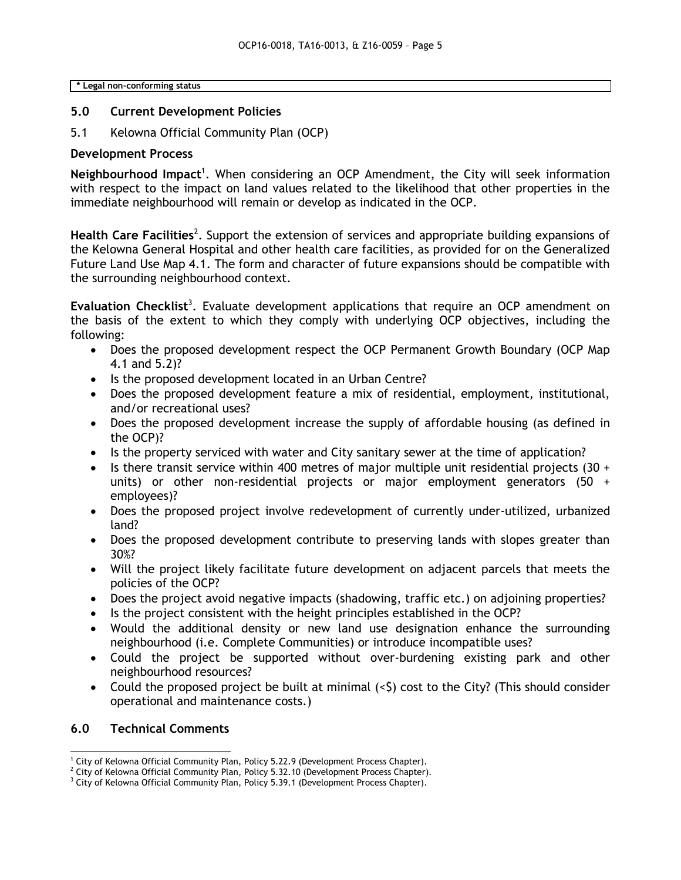**\* Legal non-conforming status**

## **5.0 Current Development Policies**

5.1 Kelowna Official Community Plan (OCP)

#### **Development Process**

Neighbourhood Impact<sup>1</sup>. When considering an OCP Amendment, the City will seek information with respect to the impact on land values related to the likelihood that other properties in the immediate neighbourhood will remain or develop as indicated in the OCP.

Health Care Facilities<sup>2</sup>. Support the extension of services and appropriate building expansions of the Kelowna General Hospital and other health care facilities, as provided for on the Generalized Future Land Use Map 4.1. The form and character of future expansions should be compatible with the surrounding neighbourhood context.

Evaluation Checklist<sup>3</sup>. Evaluate development applications that require an OCP amendment on the basis of the extent to which they comply with underlying OCP objectives, including the following:

- Does the proposed development respect the OCP Permanent Growth Boundary (OCP Map 4.1 and 5.2)?
- Is the proposed development located in an Urban Centre?
- Does the proposed development feature a mix of residential, employment, institutional, and/or recreational uses?
- Does the proposed development increase the supply of affordable housing (as defined in the OCP)?
- Is the property serviced with water and City sanitary sewer at the time of application?
- Is there transit service within 400 metres of major multiple unit residential projects  $(30 +$ units) or other non-residential projects or major employment generators (50 + employees)?
- Does the proposed project involve redevelopment of currently under-utilized, urbanized land?
- Does the proposed development contribute to preserving lands with slopes greater than 30%?
- Will the project likely facilitate future development on adjacent parcels that meets the policies of the OCP?
- Does the project avoid negative impacts (shadowing, traffic etc.) on adjoining properties?
- Is the project consistent with the height principles established in the OCP?
- Would the additional density or new land use designation enhance the surrounding neighbourhood (i.e. Complete Communities) or introduce incompatible uses?
- Could the project be supported without over-burdening existing park and other neighbourhood resources?
- Could the proposed project be built at minimal  $( $5$ ) cost to the City? (This should consider$ operational and maintenance costs.)

# **6.0 Technical Comments**

<sup>-</sup><sup>1</sup> City of Kelowna Official Community Plan, Policy 5.22.9 (Development Process Chapter).

 $2$  City of Kelowna Official Community Plan, Policy 5.32.10 (Development Process Chapter).

<sup>&</sup>lt;sup>3</sup> City of Kelowna Official Community Plan, Policy 5.39.1 (Development Process Chapter).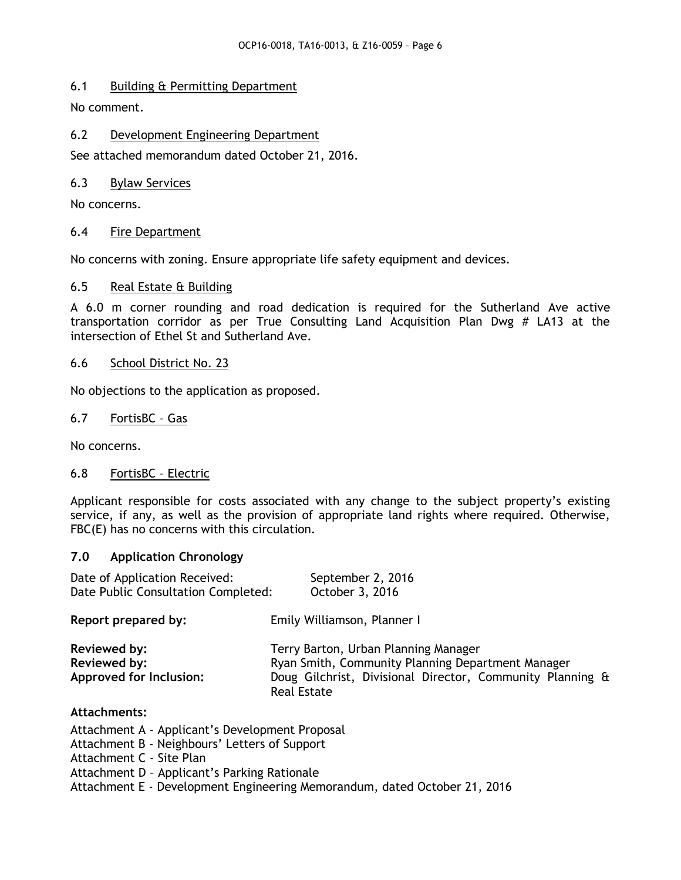# 6.1 Building & Permitting Department

No comment.

# 6.2 Development Engineering Department

See attached memorandum dated October 21, 2016.

# 6.3 Bylaw Services

No concerns.

# 6.4 Fire Department

No concerns with zoning. Ensure appropriate life safety equipment and devices.

# 6.5 Real Estate & Building

A 6.0 m corner rounding and road dedication is required for the Sutherland Ave active transportation corridor as per True Consulting Land Acquisition Plan Dwg # LA13 at the intersection of Ethel St and Sutherland Ave.

# 6.6 School District No. 23

No objections to the application as proposed.

# 6.7 FortisBC – Gas

No concerns.

# 6.8 FortisBC – Electric

Applicant responsible for costs associated with any change to the subject property's existing service, if any, as well as the provision of appropriate land rights where required. Otherwise, FBC(E) has no concerns with this circulation.

# **7.0 Application Chronology**

| Date of Application Received:<br>Date Public Consultation Completed: | September 2, 2016<br>October 3, 2016                                                                                                                                         |
|----------------------------------------------------------------------|------------------------------------------------------------------------------------------------------------------------------------------------------------------------------|
| Report prepared by:                                                  | Emily Williamson, Planner I                                                                                                                                                  |
| Reviewed by:<br>Reviewed by:<br><b>Approved for Inclusion:</b>       | Terry Barton, Urban Planning Manager<br>Ryan Smith, Community Planning Department Manager<br>Doug Gilchrist, Divisional Director, Community Planning &<br><b>Real Estate</b> |
| Attachments:<br>Attachment A - Applicant's Development Proposal      |                                                                                                                                                                              |

Attachment A - Applicant's Development Proposal

Attachment B - Neighbours' Letters of Support

Attachment C - Site Plan

Attachment D – Applicant's Parking Rationale

Attachment E - Development Engineering Memorandum, dated October 21, 2016